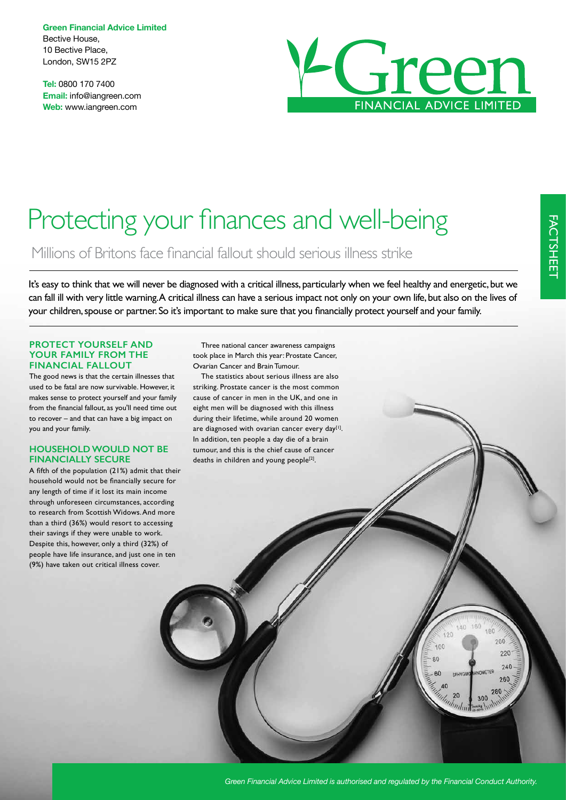**Green Financial Advice Limited** Bective House, 10 Bective Place, London, SW15 2PZ

**Tel:** 0800 170 7400 **Email:** info@iangreen.com **Web:** www.iangreen.com



# Protecting your finances and well-being

Millions of Britons face fnancial fallout should serious illness strike

It's easy to think that we will never be diagnosed with a critical illness, particularly when we feel healthy and energetic, but we can fall ill with very little warning. A critical illness can have a serious impact not only on your own life, but also on the lives of your children, spouse or partner. So it's important to make sure that you fnancially protect yourself and your family.

#### **PROTECT YOURSELF AND YOUR FAMILY FROM THE FINANCIAL FALLOUT**

The good news is that the certain illnesses that used to be fatal are now survivable. However, it makes sense to protect yourself and your family from the fnancial fallout, as you'll need time out to recover – and that can have a big impact on you and your family.

## **HOUSEHOLD WOULD NOT BE FINANCIALLY SECURE**

A ffth of the population (21%) admit that their household would not be fnancially secure for any length of time if it lost its main income through unforeseen circumstances, according to research from Scottish Widows. And more than a third (36%) would resort to accessing their savings if they were unable to work. Despite this, however, only a third (32%) of people have life insurance, and just one in ten (9%) have taken out critical illness cover.

Three national cancer awareness campaigns took place in March this year: Prostate Cancer, Ovarian Cancer and Brain Tumour.

The statistics about serious illness are also striking. Prostate cancer is the most common cause of cancer in men in the UK, and one in eight men will be diagnosed with this illness during their lifetime, while around 20 women are diagnosed with ovarian cancer every day<sup>[1]</sup>. In addition, ten people a day die of a brain tumour, and this is the chief cause of cancer deaths in children and young people<sup>[2]</sup>.

140 160

 $120$ 

 $\overline{100}$ 

80

 $60$ 

AC

180

 $200$ 

 $220$ 

240

260

280

300